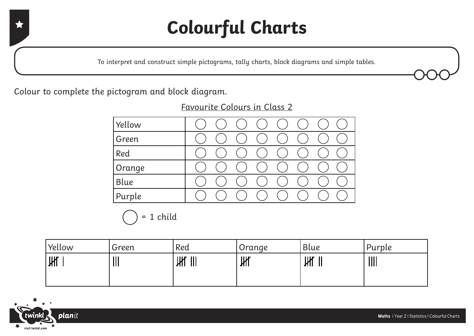### **Colourful Charts**

To interpret and construct simple pictograms, tally charts, block diagrams and simple tables.

Colour to complete the pictogram and block diagram.

Favourite Colours in Class 2

| Yellow |  |  |  |  |
|--------|--|--|--|--|
| Green  |  |  |  |  |
| Red    |  |  |  |  |
| Orange |  |  |  |  |
| Blue   |  |  |  |  |
| Purple |  |  |  |  |

= 1 child

| 'Yellow | Green                                 | Red                | Orange | Blue  | Purple         |
|---------|---------------------------------------|--------------------|--------|-------|----------------|
| Ж       | $\begin{array}{c} \hline \end{array}$ | Ж<br>$\frac{1}{2}$ | Ж      | Ж<br> | $\mathbf{III}$ |
|         |                                       |                    |        |       |                |

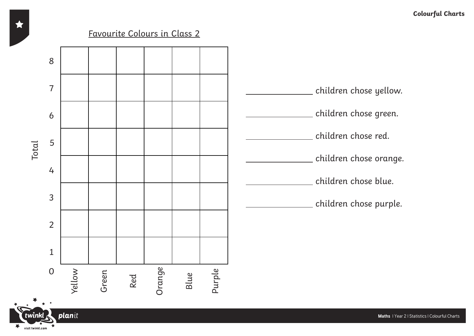#### Favourite Colours in Class 2



visit twinkl.com

**Maths** | Year 2 | Statistics | Colourful Charts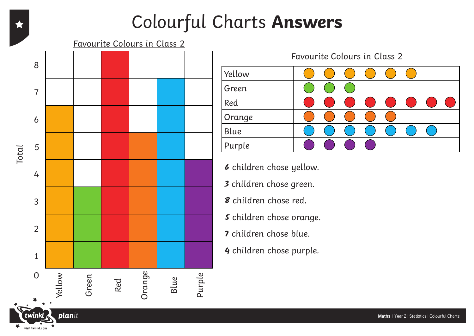#### Colourful Charts **Answers**

Favourite Colours in Class 2





**6** children chose yellow.

- **3** children chose green.
- **8** children chose red.
- **5** children chose orange.
- **7** children chose blue.
- **4** children chose purple.

visit twinkl.com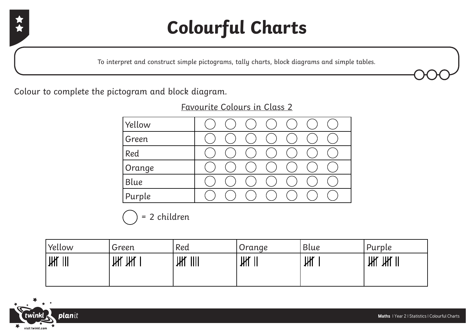

# **Colourful Charts**

To interpret and construct simple pictograms, tally charts, block diagrams and simple tables.

Colour to complete the pictogram and block diagram.

Yellow Green Red Orange Blue Purple

Favourite Colours in Class 2

= 2 children

| Yellow                                     | Green  | Red                                  | Orange | Blue | Purple                                 |
|--------------------------------------------|--------|--------------------------------------|--------|------|----------------------------------------|
| Ж<br>$\begin{array}{c} \hline \end{array}$ | Ж<br>Ж | Ж<br>$\parallel \parallel \parallel$ | Ж<br>Ш | Ж    | $\mathbb H$<br>$\parallel$ $\parallel$ |
|                                            |        |                                      |        |      |                                        |

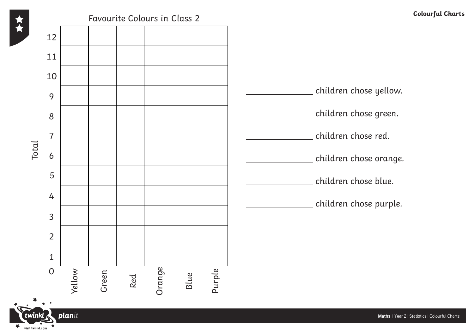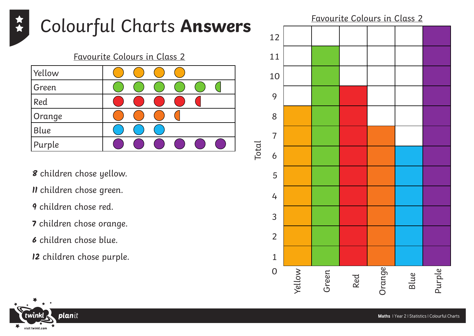

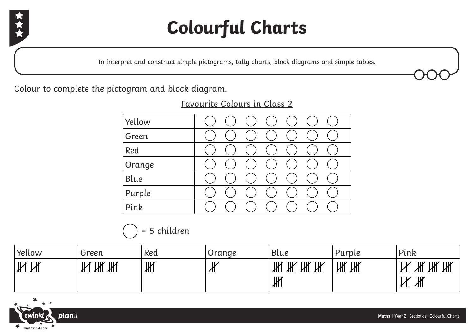

# **Colourful Charts**

To interpret and construct simple pictograms, tally charts, block diagrams and simple tables.

Colour to complete the pictogram and block diagram.

#### Favourite Colours in Class 2

| Yellow |  |  |  |  |
|--------|--|--|--|--|
| Green  |  |  |  |  |
| Red    |  |  |  |  |
| Orange |  |  |  |  |
| Blue   |  |  |  |  |
| Purple |  |  |  |  |
| Pink   |  |  |  |  |

#### = 5 children

| Yellow | Green        | Red | Orange | Blue                              | Purple | Pink                                       |
|--------|--------------|-----|--------|-----------------------------------|--------|--------------------------------------------|
| Ж<br>Ж | Ж<br>Ж<br>Ж۲ | Ж   | Ж      | Ж<br>Ж<br>Ж<br>$\mathcal{H}$<br>Ж | Ж<br>Ж | Ж<br>Ж<br>Ж<br>Жľ<br>Ж<br>$$\mathsf{III}$$ |

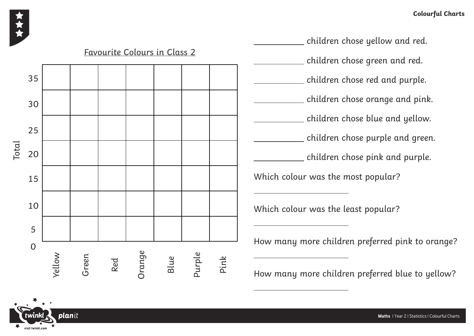

**plan**it